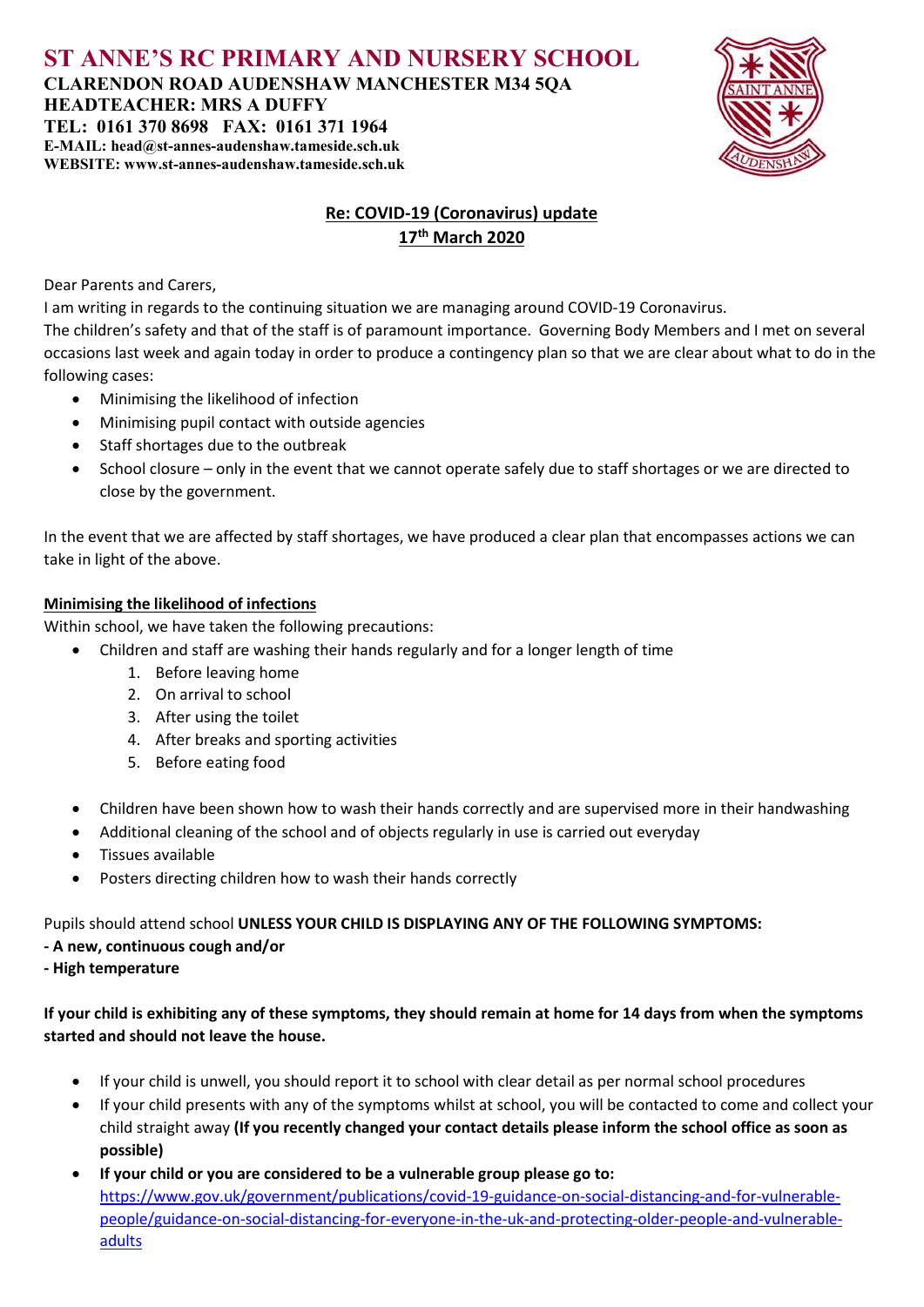ST ANNE'S RC PRIMARY AND NURSERY SCHOOL CLARENDON ROAD AUDENSHAW MANCHESTER M34 5QA HEADTEACHER: MRS A DUFFY TEL: 0161 370 8698 FAX: 0161 371 1964 E-MAIL: head@st-annes-audenshaw.tameside.sch.uk WEBSITE: www.st-annes-audenshaw.tameside.sch.uk



## Re: COVID-19 (Coronavirus) update 17th March 2020

Dear Parents and Carers,

I am writing in regards to the continuing situation we are managing around COVID-19 Coronavirus.

The children's safety and that of the staff is of paramount importance. Governing Body Members and I met on several occasions last week and again today in order to produce a contingency plan so that we are clear about what to do in the following cases:

- Minimising the likelihood of infection
- Minimising pupil contact with outside agencies
- Staff shortages due to the outbreak
- School closure only in the event that we cannot operate safely due to staff shortages or we are directed to close by the government.

In the event that we are affected by staff shortages, we have produced a clear plan that encompasses actions we can take in light of the above.

### Minimising the likelihood of infections

Within school, we have taken the following precautions:

- Children and staff are washing their hands regularly and for a longer length of time
	- 1. Before leaving home
	- 2. On arrival to school
	- 3. After using the toilet
	- 4. After breaks and sporting activities
	- 5. Before eating food
- Children have been shown how to wash their hands correctly and are supervised more in their handwashing
- Additional cleaning of the school and of objects regularly in use is carried out everyday
- Tissues available
- Posters directing children how to wash their hands correctly

Pupils should attend school UNLESS YOUR CHILD IS DISPLAYING ANY OF THE FOLLOWING SYMPTOMS:

- A new, continuous cough and/or
- High temperature

If your child is exhibiting any of these symptoms, they should remain at home for 14 days from when the symptoms started and should not leave the house.

- If your child is unwell, you should report it to school with clear detail as per normal school procedures
- If your child presents with any of the symptoms whilst at school, you will be contacted to come and collect your child straight away (If you recently changed your contact details please inform the school office as soon as possible)
- If your child or you are considered to be a vulnerable group please go to: https://www.gov.uk/government/publications/covid-19-guidance-on-social-distancing-and-for-vulnerablepeople/guidance-on-social-distancing-for-everyone-in-the-uk-and-protecting-older-people-and-vulnerableadults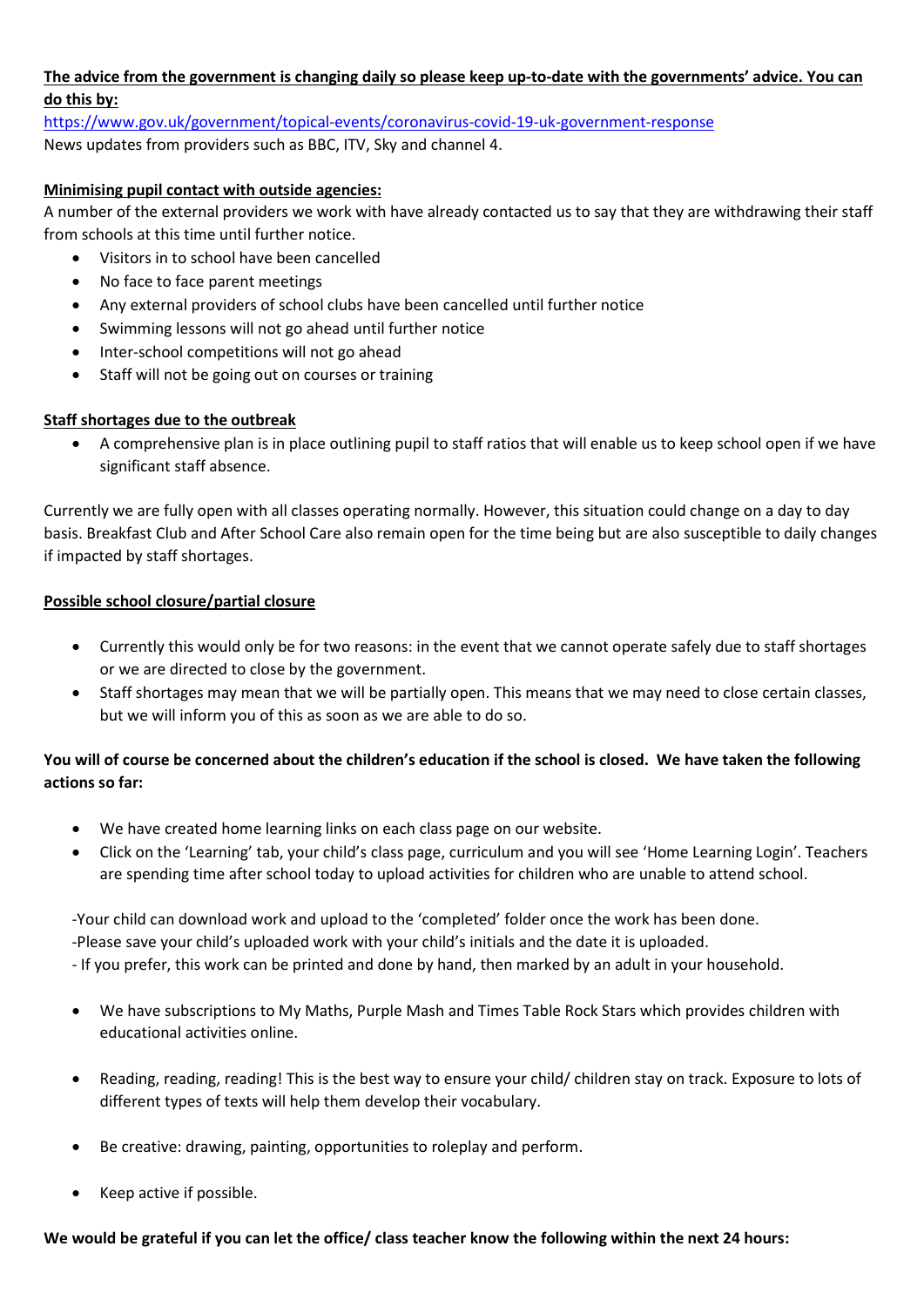# The advice from the government is changing daily so please keep up-to-date with the governments' advice. You can do this by:

https://www.gov.uk/government/topical-events/coronavirus-covid-19-uk-government-response News updates from providers such as BBC, ITV, Sky and channel 4.

## Minimising pupil contact with outside agencies:

A number of the external providers we work with have already contacted us to say that they are withdrawing their staff from schools at this time until further notice.

- Visitors in to school have been cancelled
- No face to face parent meetings
- Any external providers of school clubs have been cancelled until further notice
- Swimming lessons will not go ahead until further notice
- Inter-school competitions will not go ahead
- Staff will not be going out on courses or training

### Staff shortages due to the outbreak

 A comprehensive plan is in place outlining pupil to staff ratios that will enable us to keep school open if we have significant staff absence.

Currently we are fully open with all classes operating normally. However, this situation could change on a day to day basis. Breakfast Club and After School Care also remain open for the time being but are also susceptible to daily changes if impacted by staff shortages.

#### Possible school closure/partial closure

- Currently this would only be for two reasons: in the event that we cannot operate safely due to staff shortages or we are directed to close by the government.
- Staff shortages may mean that we will be partially open. This means that we may need to close certain classes, but we will inform you of this as soon as we are able to do so.

# You will of course be concerned about the children's education if the school is closed. We have taken the following actions so far:

- We have created home learning links on each class page on our website.
- Click on the 'Learning' tab, your child's class page, curriculum and you will see 'Home Learning Login'. Teachers are spending time after school today to upload activities for children who are unable to attend school.

-Your child can download work and upload to the 'completed' folder once the work has been done.

-Please save your child's uploaded work with your child's initials and the date it is uploaded.

- If you prefer, this work can be printed and done by hand, then marked by an adult in your household.

- We have subscriptions to My Maths, Purple Mash and Times Table Rock Stars which provides children with educational activities online.
- Reading, reading, reading! This is the best way to ensure your child/ children stay on track. Exposure to lots of different types of texts will help them develop their vocabulary.
- Be creative: drawing, painting, opportunities to roleplay and perform.
- Keep active if possible.

#### We would be grateful if you can let the office/ class teacher know the following within the next 24 hours: